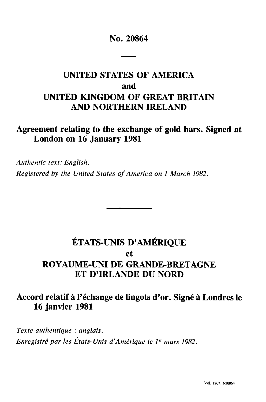#### **No. 20864**

# **UNITED STATES OF AMERICA and UNITED KINGDOM OF GREAT BRITAIN AND NORTHERN IRELAND**

### **Agreement relating to the exchange of gold bars. Signed at London on 16 January 1981**

*Authentic text: English. Registered by the United States of America on 1 March 1982.*

# **ETATS-UNIS D'AMERIQUE et ROYAUME-UNI DE GRANDE-BRETAGNE ET D'IRLANDE DU NORD**

## **Accord relatif à l'échange de lingots d'or. Signé à Londres le 16 janvier 1981**

*Texte authentique : anglais. Enregistré par les États-Unis d'Amérique le 1" mars 1982.*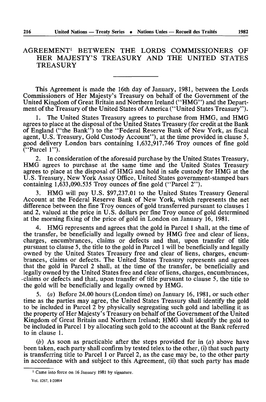#### AGREEMENT1 BETWEEN THE LORDS COMMISSIONERS OF HER MAJESTY'S TREASURY AND THE UNITED STATES **TREASURY**

This Agreement is made the 16th day of January, 1981, between the Lords Commissioners of Her Majesty's Treasury on behalf of the Government of the United Kingdom of Great Britain and Northern Ireland ("HMG") and the Depart ment of the Treasury of the United States of America ("United States Treasury").

1. The United States Treasury agrees to purchase from HMG, and HMG agrees to place at the disposal of the United States Treasury (for credit at the Bank of England ("the Bank") to the "Federal Reserve Bank of New York, as fiscal agent, U.S. Treasury, Gold Custody Account"), at the time provided in clause 5, good delivery London bars containing 1,632,917.746 Troy ounces of fine gold ("Parcel 1").

2. In consideration of the aforesaid purchase by the United States Treasury, HMG agrees to purchase at the same time and the United States Treasury agrees to place at the disposal of HMG and hold in safe custody for HMG at the U.S. Treasury, New York Assay Office, United States government-stamped bars containing 1,633,090.535 Troy ounces of fine gold ("Parcel 2").

3. HMG will pay U.S. \$97,237.01 to the United States Treasury General Account at the Federal Reserve Bank of New York, which represents the net difference between the fine Troy ounces of gold transferred pursuant to clauses 1 and 2, valued at the price in U.S. dollars per fine Troy ounce of gold determined at the morning fixing of the price of gold in London on January 16, 1981.

4. HMG represents and agrees that the gold in Parcel 1 shall, at the time of the transfer, be beneficially and legally owned by HMG free and clear of liens, charges, encumbrances, claims or defects and that, upon transfer of title pursuant to clause 5, the title to the gold in Parcel 1 will be beneficially and legally owned by the United States Treasury free and clear of liens, charges, encum brances, claims or defects. The United States Treasury represents and agrees that the gold in Parcel 2 shall, at the time of the transfer, be beneficially and legally owned by the United States free and clear of liens, charges, encumbrances, claims or defects and that, upon transfer of title pursuant to clause 5, the title to the gold will be beneficially and legally owned by HMG.

5. *(a)* Before 24.00 hours (London time) on January 16, 1981, or such other time as the parties may agree, the United States Treasury shall identify the gold to be included in Parcel 2 by physically segregating such gold and labelling it as the property of Her Majesty's Treasury on behalf of the Government of the United Kingdom of Great Britain and Northern Ireland; HMG shall identify the gold to be included in Parcel 1 by allocating such gold to the account at the Bank referred to in clause 1.

*(b)* As soon as practicable after the steps provided for in *(a)* above have been taken, each party shall confirm by tested telex to the other, (i) that such party is transferring title to Parcel 1 or Parcel 2, as the case may be, to the other party in accordance with and subject to this Agreement, (ii) that such party has made

<sup>&#</sup>x27; Came into force on 16 January 1981 by signature.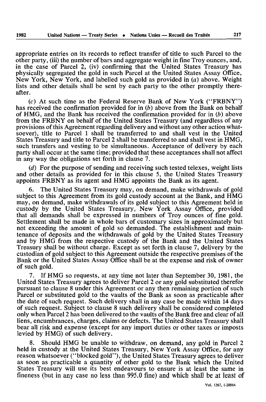appropriate entries on its records to reflect transfer of title to such Parcel to the other party, (iii) the number of bars and aggregate weight in fine Troy ounces, and, in the case of Parcel 2, (iv) confirming that the United States Treasury has physically segregated the gold in such Parcel at the United States Assay Office, New York, New York, and labelled such gold as provided in *(a)* above. Weight lists and other details shall be sent by each party to the other promptly there after.

(c) At such time as the Federal Reserve Bank of New York ("FRBNY") has received the confirmation provided for in *(b)* above from the Bank on behalf of HMG, and the Bank has received the confirmation provided for in *(b)* above from the FRBNY on behalf of the United States Treasury (and regardless of any provisions of this Agreement regarding delivery and without any other action what soever), title to Parcel 1 shall be transferred to and shall vest in the United States Treasury and title to Parcel 2 shall be transferred to and shall vest in HMG, such transfers and vesting to be simultaneous. Acceptance of delivery by each party shall occur at the same time; provided that these acceptances shall not affect in any way the obligations set forth in clause 7.

*(d)* For the purpose of sending and receiving such tested telexes, weight lists and other details as provided for in this clause 5, the United States Treasury appoints FRBNY as its agent and HMG appoints the Bank as its agent.

6. The United States Treasury may, on demand, make withdrawals of gold subject to this Agreement from its gold custody account at the Bank, and HMG may, on demand, make withdrawals of its gold subject to this Agreement held in custody by the United States Treasury, New York Assay Office, provided that all demands shall be expressed in numbers of Troy ounces of fine gold. Settlement shall be made in whole bars of customary sizes in approximately but not exceeding the amount of gold so demanded. The establishment and main tenance of deposits and the withdrawals of gold by the United States Treasury and by HMG from the respective custody of the Bank and the United States Treasury shall be without charge. Except as set forth in clause 7, delivery by the custodian of gold subject to this Agreement outside the respective premises of the Bank or the United States Assay Office shall be at the expense and risk of owner of such gold.

7. If HMG so requests, at any time not later than September 30, 1981, the United States Treasury agrees to deliver Parcel 2 or any gold substituted therefor pursuant to clause 8 under this Agreement or any then remaining portion of such Parcel or substituted gold to the vaults of the Bank as soon as practicable after the date of such request. Such delivery shall in any case be made within 14 days of such request. Subject to clause 8 such delivery shall be considered completed only when Parcel 2 has been delivered to the vaults of the Bank free and clear of all liens, encumbrances, charges, claims or defects. The United States Treasury shall bear all risk and expense (except for any import duties or other taxes or imposts levied by HMG) of such delivery.

8. Should HMG be unable to withdraw, on demand, any gold in Parcel 2 held in custody at the United States Treasury, New York Assay Office, for any reason whatsoever ("blocked gold"), the United States Treasury agrees to deliver as soon as practicable a quantity of other gold to the Bank which the United States Treasury will use its best endeavours to ensure is at least the same in fineness (but in any case no less than 995.0 fine) and which shall be at least of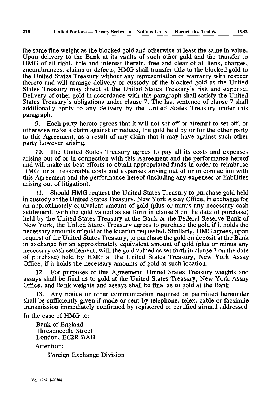the same fine weight as the blocked gold and otherwise at least the same in value. Upon delivery to the Bank at its vaults of such other gold and the transfer to HMG of all right, title and interest therein, free and clear of all liens, charges, encumbrances, claims or defects, HMG shall transfer title to the blocked gold to the United States Treasury without any representation or warranty with respect thereto and will arrange delivery or custody of the blocked gold as the United States Treasury may direct at the United States Treasury's risk and expense. Delivery of other gold in accordance with this paragraph shall satisfy the United States Treasury's obligations under clause 7. The last sentence of clause 7 shall additionally apply to any delivery by the United States Treasury under this paragraph.

9. Each party hereto agrees that it will not set-off or attempt to set-off, or otherwise make a claim against or reduce, the gold held by or for the other party to this Agreement, as a result of any claim that it may have against such other party however arising.

10. The United States Treasury agrees to pay all its costs and expenses arising out of or in connection with this Agreement and the performance hereof and will make its best efforts to obtain appropriated funds in order to reimburse HMG for all reasonable costs and expenses arising out of or in connection with this Agreement and the performance hereof (including any expenses or liabilities arising out of litigation).

11. Should HMG request the United States Treasury to purchase gold held in custody at the United States Treasury, New York Assay Office, in exchange for an approximately equivalent amount of gold (plus or minus any necessary cash settlement, with the gold valued as set forth in clause 3 on the date of purchase) held by the United States Treasury at the Bank or the Federal Reserve Bank of New York, the United States Treasury agrees to purchase the gold if it holds the necessary amounts of gold at the location requested. Similarly, HMG agrees, upon request of the United States Treasury, to purchase the gold on deposit at the Bank in exchange for an approximately equivalent amount of gold (plus or minus any necessary cash settlement, with the gold valued as set forth in clause 3 on the date of purchase) held by HMG at the United States Treasury, New York Assay Office, if it holds the necessary amounts of gold at such location.

12. For purposes of this Agreement, United States Treasury weights and assays shall be final as to gold at the United States Treasury, New York Assay Office, and Bank weights and assays shall be final as to gold at the Bank.

13. Any notice or other communication required or permitted hereunder shall be sufficiently given if made or sent by telephone, telex, cable or facsimile transmission immediately confirmed by registered or certified airmail addressed

In the case of HMG to:

Bank of England Threadneedle Street London, EC2R BAH

Attention:

Foreign Exchange Division